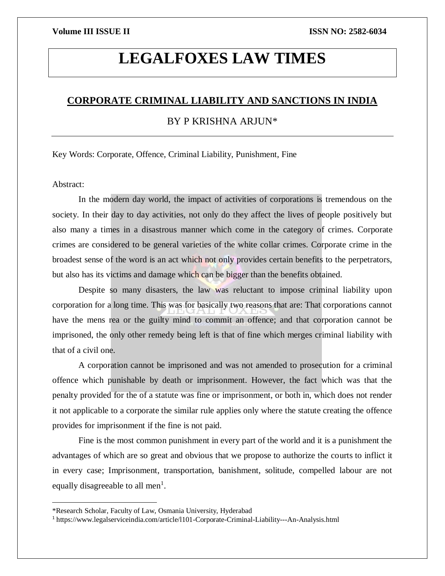# **LEGALFOXES LAW TIMES**

# **CORPORATE CRIMINAL LIABILITY AND SANCTIONS IN INDIA**

# BY P KRISHNA ARJUN\*

Key Words: Corporate, Offence, Criminal Liability, Punishment, Fine

Abstract:

 $\overline{\phantom{a}}$ 

In the modern day world, the impact of activities of corporations is tremendous on the society. In their day to day activities, not only do they affect the lives of people positively but also many a times in a disastrous manner which come in the category of crimes. Corporate crimes are considered to be general varieties of the white collar crimes. Corporate crime in the broadest sense of the word is an act which not only provides certain benefits to the perpetrators, but also has its victims and damage which can be bigger than the benefits obtained.

Despite so many disasters, the law was reluctant to impose criminal liability upon corporation for a long time. This was for basically two reasons that are: That corporations cannot have the mens rea or the guilty mind to commit an offence; and that corporation cannot be imprisoned, the only other remedy being left is that of fine which merges criminal liability with that of a civil one.

A corporation cannot be imprisoned and was not amended to prosecution for a criminal offence which punishable by death or imprisonment. However, the fact which was that the penalty provided for the of a statute was fine or imprisonment, or both in, which does not render it not applicable to a corporate the similar rule applies only where the statute creating the offence provides for imprisonment if the fine is not paid.

Fine is the most common punishment in every part of the world and it is a punishment the advantages of which are so great and obvious that we propose to authorize the courts to inflict it in every case; Imprisonment, transportation, banishment, solitude, compelled labour are not equally disagreeable to all men<sup>1</sup>.

<sup>\*</sup>Research Scholar, Faculty of Law, Osmania University, Hyderabad

<sup>1</sup> https://www.legalserviceindia.com/article/l101-Corporate-Criminal-Liability---An-Analysis.html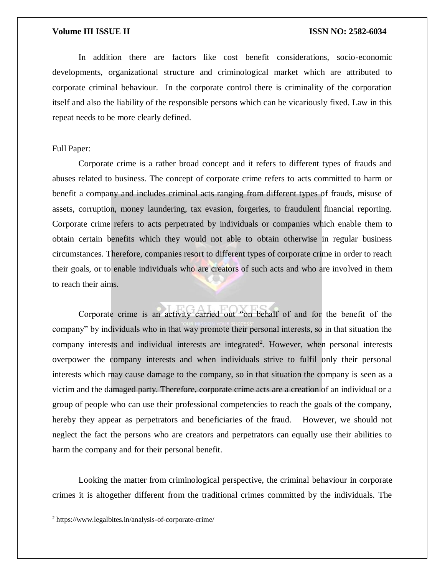In addition there are factors like cost benefit considerations, socio-economic developments, organizational structure and criminological market which are attributed to corporate criminal behaviour. In the corporate control there is criminality of the corporation itself and also the liability of the responsible persons which can be vicariously fixed. Law in this repeat needs to be more clearly defined.

### Full Paper:

Corporate crime is a rather broad concept and it refers to different types of frauds and abuses related to business. The concept of corporate crime refers to acts committed to harm or benefit a company and includes criminal acts ranging from different types of frauds, misuse of assets, corruption, money laundering, tax evasion, forgeries, to fraudulent financial reporting. Corporate crime refers to acts perpetrated by individuals or companies which enable them to obtain certain benefits which they would not able to obtain otherwise in regular business circumstances. Therefore, companies resort to different types of corporate crime in order to reach their goals, or to enable individuals who are creators of such acts and who are involved in them to reach their aims.

Corporate crime is an activity carried out "on behalf of and for the benefit of the company" by individuals who in that way promote their personal interests, so in that situation the company interests and individual interests are integrated<sup>2</sup>. However, when personal interests overpower the company interests and when individuals strive to fulfil only their personal interests which may cause damage to the company, so in that situation the company is seen as a victim and the damaged party. Therefore, corporate crime acts are a creation of an individual or a group of people who can use their professional competencies to reach the goals of the company, hereby they appear as perpetrators and beneficiaries of the fraud. However, we should not neglect the fact the persons who are creators and perpetrators can equally use their abilities to harm the company and for their personal benefit.

Looking the matter from criminological perspective, the criminal behaviour in corporate crimes it is altogether different from the traditional crimes committed by the individuals. The

 $\overline{a}$ 

<sup>2</sup> https://www.legalbites.in/analysis-of-corporate-crime/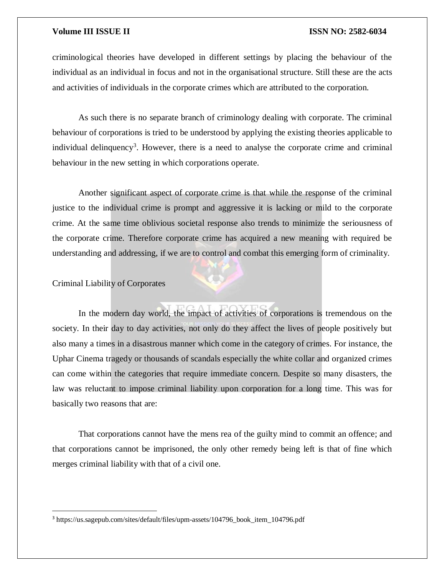criminological theories have developed in different settings by placing the behaviour of the individual as an individual in focus and not in the organisational structure. Still these are the acts and activities of individuals in the corporate crimes which are attributed to the corporation.

As such there is no separate branch of criminology dealing with corporate. The criminal behaviour of corporations is tried to be understood by applying the existing theories applicable to individual delinquency<sup>3</sup>. However, there is a need to analyse the corporate crime and criminal behaviour in the new setting in which corporations operate.

Another significant aspect of corporate crime is that while the response of the criminal justice to the individual crime is prompt and aggressive it is lacking or mild to the corporate crime. At the same time oblivious societal response also trends to minimize the seriousness of the corporate crime. Therefore corporate crime has acquired a new meaning with required be understanding and addressing, if we are to control and combat this emerging form of criminality.

Criminal Liability of Corporates

 $\overline{a}$ 

In the modern day world, the impact of activities of corporations is tremendous on the society. In their day to day activities, not only do they affect the lives of people positively but also many a times in a disastrous manner which come in the category of crimes. For instance, the Uphar Cinema tragedy or thousands of scandals especially the white collar and organized crimes can come within the categories that require immediate concern. Despite so many disasters, the law was reluctant to impose criminal liability upon corporation for a long time. This was for basically two reasons that are:

That corporations cannot have the mens rea of the guilty mind to commit an offence; and that corporations cannot be imprisoned, the only other remedy being left is that of fine which merges criminal liability with that of a civil one.

<sup>3</sup> https://us.sagepub.com/sites/default/files/upm-assets/104796\_book\_item\_104796.pdf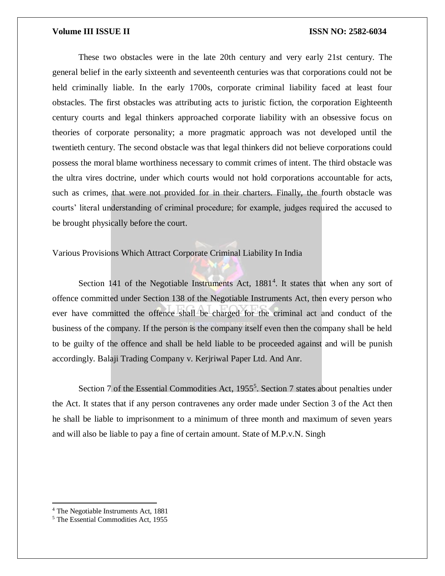These two obstacles were in the late 20th century and very early 21st century. The general belief in the early sixteenth and seventeenth centuries was that corporations could not be held criminally liable. In the early 1700s, corporate criminal liability faced at least four obstacles. The first obstacles was attributing acts to juristic fiction, the corporation Eighteenth century courts and legal thinkers approached corporate liability with an obsessive focus on theories of corporate personality; a more pragmatic approach was not developed until the twentieth century. The second obstacle was that legal thinkers did not believe corporations could possess the moral blame worthiness necessary to commit crimes of intent. The third obstacle was the ultra vires doctrine, under which courts would not hold corporations accountable for acts, such as crimes, that were not provided for in their charters. Finally, the fourth obstacle was courts' literal understanding of criminal procedure; for example, judges required the accused to be brought physically before the court.

Various Provisions Which Attract Corporate Criminal Liability In India

Section 141 of the Negotiable Instruments Act, 1881<sup>4</sup>. It states that when any sort of offence committed under Section 138 of the Negotiable Instruments Act, then every person who ever have committed the offence shall be charged for the criminal act and conduct of the business of the company. If the person is the company itself even then the company shall be held to be guilty of the offence and shall be held liable to be proceeded against and will be punish accordingly. Balaji Trading Company v. Kerjriwal Paper Ltd. And Anr.

Section 7 of the Essential Commodities Act, 1955<sup>5</sup>. Section 7 states about penalties under the Act. It states that if any person contravenes any order made under Section 3 of the Act then he shall be liable to imprisonment to a minimum of three month and maximum of seven years and will also be liable to pay a fine of certain amount. State of M.P.v.N. Singh

 $\overline{\phantom{a}}$ 

<sup>4</sup> The Negotiable Instruments Act, 1881

<sup>5</sup> The Essential Commodities Act, 1955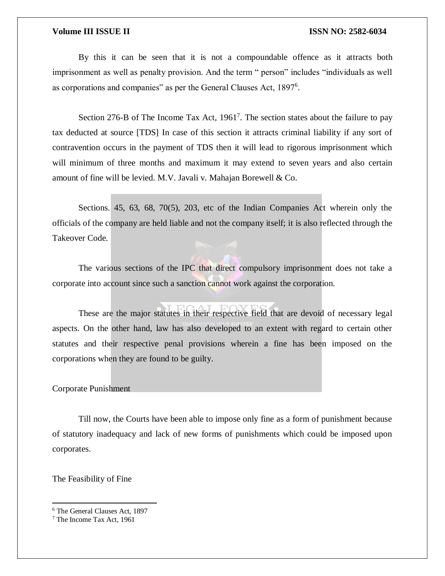By this it can be seen that it is not a compoundable offence as it attracts both imprisonment as well as penalty provision. And the term " person" includes "individuals as well as corporations and companies" as per the General Clauses Act, 1897<sup>6</sup>.

Section 276-B of The Income Tax Act,  $1961<sup>7</sup>$ . The section states about the failure to pay tax deducted at source [TDS] In case of this section it attracts criminal liability if any sort of contravention occurs in the payment of TDS then it will lead to rigorous imprisonment which will minimum of three months and maximum it may extend to seven years and also certain amount of fine will be levied. M.V. Javali v. Mahajan Borewell & Co.

Sections. 45, 63, 68, 70(5), 203, etc of the Indian Companies Act wherein only the officials of the company are held liable and not the company itself; it is also reflected through the Takeover Code.

The various sections of the IPC that direct compulsory imprisonment does not take a corporate into account since such a sanction cannot work against the corporation.

These are the major statutes in their respective field that are devoid of necessary legal aspects. On the other hand, law has also developed to an extent with regard to certain other statutes and their respective penal provisions wherein a fine has been imposed on the corporations when they are found to be guilty.

### Corporate Punishment

Till now, the Courts have been able to impose only fine as a form of punishment because of statutory inadequacy and lack of new forms of punishments which could be imposed upon corporates.

The Feasibility of Fine

 $\overline{\phantom{a}}$ 

<sup>6</sup> The General Clauses Act, 1897

<sup>7</sup> The Income Tax Act, 1961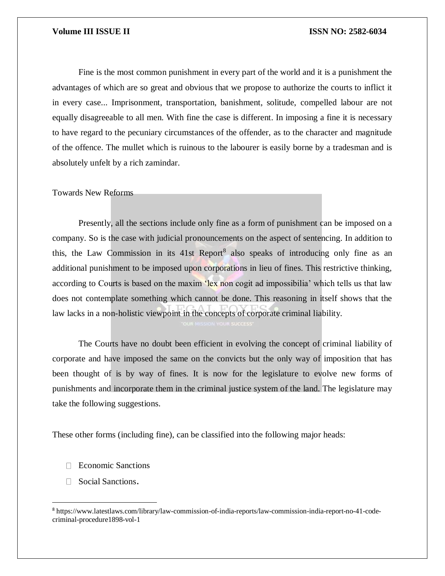Fine is the most common punishment in every part of the world and it is a punishment the advantages of which are so great and obvious that we propose to authorize the courts to inflict it in every case... Imprisonment, transportation, banishment, solitude, compelled labour are not equally disagreeable to all men. With fine the case is different. In imposing a fine it is necessary to have regard to the pecuniary circumstances of the offender, as to the character and magnitude of the offence. The mullet which is ruinous to the labourer is easily borne by a tradesman and is absolutely unfelt by a rich zamindar.

Towards New Reforms

Presently, all the sections include only fine as a form of punishment can be imposed on a company. So is the case with judicial pronouncements on the aspect of sentencing. In addition to this, the Law Commission in its 41st Report<sup>8</sup> also speaks of introducing only fine as an additional punishment to be imposed upon corporations in lieu of fines. This restrictive thinking, according to Courts is based on the maxim 'lex non cogit ad impossibilia' which tells us that law does not contemplate something which cannot be done. This reasoning in itself shows that the law lacks in a non-holistic viewpoint in the concepts of corporate criminal liability.

The Courts have no doubt been efficient in evolving the concept of criminal liability of corporate and have imposed the same on the convicts but the only way of imposition that has been thought of is by way of fines. It is now for the legislature to evolve new forms of punishments and incorporate them in the criminal justice system of the land. The legislature may take the following suggestions.

These other forms (including fine), can be classified into the following major heads:

- □ Economic Sanctions
- □ Social Sanctions.

 $\overline{\phantom{a}}$ 

<sup>8</sup> https://www.latestlaws.com/library/law-commission-of-india-reports/law-commission-india-report-no-41-codecriminal-procedure1898-vol-1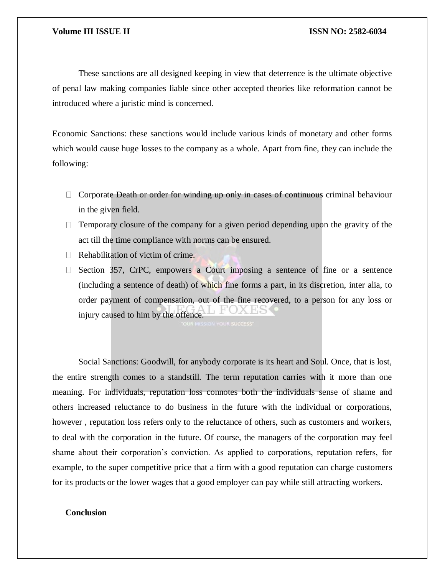These sanctions are all designed keeping in view that deterrence is the ultimate objective of penal law making companies liable since other accepted theories like reformation cannot be introduced where a juristic mind is concerned.

Economic Sanctions: these sanctions would include various kinds of monetary and other forms which would cause huge losses to the company as a whole. Apart from fine, they can include the following:

- $\Box$  Corporate Death or order for winding up only in cases of continuous criminal behaviour in the given field.
- $\Box$  Temporary closure of the company for a given period depending upon the gravity of the act till the time compliance with norms can be ensured.
- $\Box$  Rehabilitation of victim of crime.
- $\Box$  Section 357, CrPC, empowers a Court imposing a sentence of fine or a sentence (including a sentence of death) of which fine forms a part, in its discretion, inter alia, to order payment of compensation, out of the fine recovered, to a person for any loss or injury caused to him by the offence.

Social Sanctions: Goodwill, for anybody corporate is its heart and Soul. Once, that is lost, the entire strength comes to a standstill. The term reputation carries with it more than one meaning. For individuals, reputation loss connotes both the individuals sense of shame and others increased reluctance to do business in the future with the individual or corporations, however , reputation loss refers only to the reluctance of others, such as customers and workers, to deal with the corporation in the future. Of course, the managers of the corporation may feel shame about their corporation's conviction. As applied to corporations, reputation refers, for example, to the super competitive price that a firm with a good reputation can charge customers for its products or the lower wages that a good employer can pay while still attracting workers.

# **Conclusion**